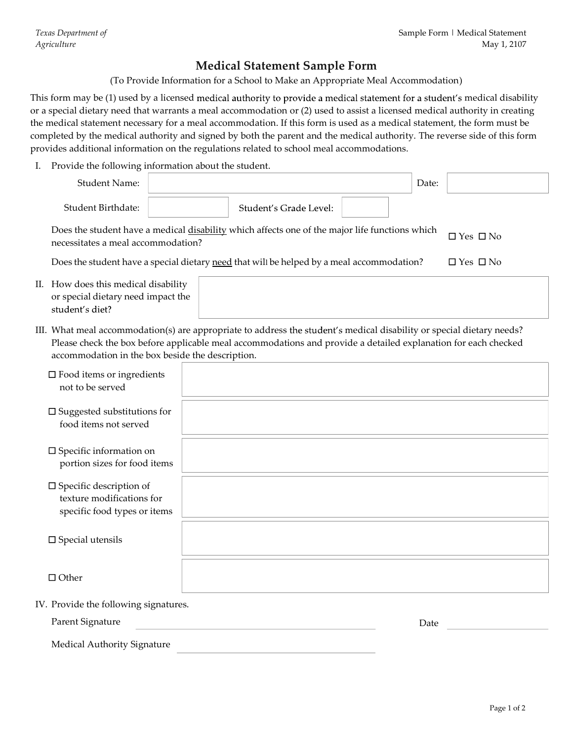Sample Form | Medical Statement<br>
May 1, 2107<br>
Medical Statement Sample Form<br>
tion for a School to Make an Appropriate Meal Accommodation)<br>
medical authority to provide a medical statement for a student's medical disability This form may be (1) used by a licensed medical authority to provide a medical statement for a student's medical disability or a special dietary need that warrants a meal accommodation or (2) used to assist a licensed medical authority in creating the medical statement necessary for a meal accommodation. If this form is used as a medical statement, the form must be completed by the medical authority and signed by both the parent and the medical authority. The reverse side of this form provides additional information on the regulations related to school meal accommodations.

| Texas Department of<br><i>Agriculture</i>                                                      | Sample Form   Medical Statement<br>May 1, 2107                                                                                                                                                                                                                                                                                                                                                                                                                                                                                                                                                             |
|------------------------------------------------------------------------------------------------|------------------------------------------------------------------------------------------------------------------------------------------------------------------------------------------------------------------------------------------------------------------------------------------------------------------------------------------------------------------------------------------------------------------------------------------------------------------------------------------------------------------------------------------------------------------------------------------------------------|
|                                                                                                | <b>Medical Statement Sample Form</b><br>(To Provide Information for a School to Make an Appropriate Meal Accommodation)                                                                                                                                                                                                                                                                                                                                                                                                                                                                                    |
|                                                                                                | his form may be (1) used by a licensed medical authority to provide a medical statement for a student's medical disability<br>r a special dietary need that warrants a meal accommodation or (2) used to assist a licensed medical authority in creating<br>ne medical statement necessary for a meal accommodation. If this form is used as a medical statement, the form must be<br>ompleted by the medical authority and signed by both the parent and the medical authority. The reverse side of this form<br>rovides additional information on the regulations related to school meal accommodations. |
| I. Provide the following information about the student.                                        |                                                                                                                                                                                                                                                                                                                                                                                                                                                                                                                                                                                                            |
| <b>Student Name:</b>                                                                           | Date:                                                                                                                                                                                                                                                                                                                                                                                                                                                                                                                                                                                                      |
| Student Birthdate:                                                                             | Student's Grade Level:                                                                                                                                                                                                                                                                                                                                                                                                                                                                                                                                                                                     |
| necessitates a meal accommodation?                                                             | Does the student have a medical disability which affects one of the major life functions which<br>$\Box$ Yes $\Box$ No                                                                                                                                                                                                                                                                                                                                                                                                                                                                                     |
|                                                                                                | Does the student have a special dietary need that will be helped by a meal accommodation?<br>$\Box$ Yes $\Box$ No                                                                                                                                                                                                                                                                                                                                                                                                                                                                                          |
| II. How does this medical disability                                                           |                                                                                                                                                                                                                                                                                                                                                                                                                                                                                                                                                                                                            |
| or special dietary need impact the<br>student's diet?                                          |                                                                                                                                                                                                                                                                                                                                                                                                                                                                                                                                                                                                            |
| accommodation in the box beside the description.                                               | III. What meal accommodation(s) are appropriate to address the student's medical disability or special dietary needs?<br>Please check the box before applicable meal accommodations and provide a detailed explanation for each checked                                                                                                                                                                                                                                                                                                                                                                    |
| $\square$ Food items or ingredients<br>not to be served                                        |                                                                                                                                                                                                                                                                                                                                                                                                                                                                                                                                                                                                            |
| $\square$ Suggested substitutions for<br>food items not served                                 |                                                                                                                                                                                                                                                                                                                                                                                                                                                                                                                                                                                                            |
| $\square$ Specific information on<br>portion sizes for food items                              |                                                                                                                                                                                                                                                                                                                                                                                                                                                                                                                                                                                                            |
| $\square$ Specific description of<br>texture modifications for<br>specific food types or items |                                                                                                                                                                                                                                                                                                                                                                                                                                                                                                                                                                                                            |
| $\square$ Special utensils                                                                     |                                                                                                                                                                                                                                                                                                                                                                                                                                                                                                                                                                                                            |
| $\Box$ Other                                                                                   |                                                                                                                                                                                                                                                                                                                                                                                                                                                                                                                                                                                                            |
| IV. Provide the following signatures.                                                          |                                                                                                                                                                                                                                                                                                                                                                                                                                                                                                                                                                                                            |